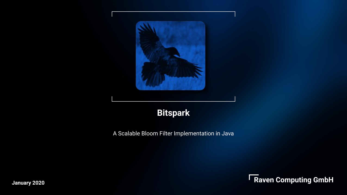

## **Bitspark**

A Scalable Bloom Filter Implementation in Java



**January 2020**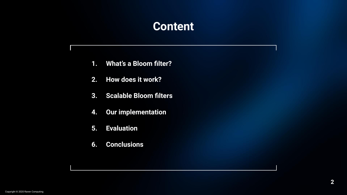## **Content**

- **1. What's a Bloom filter?**
- **2. How does it work?**
- **3. Scalable Bloom filters**
- **4. Our implementation**
- **5. Evaluation**
- **6. Conclusions**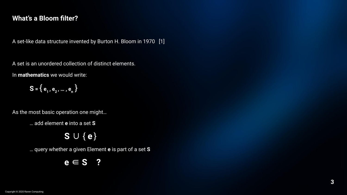#### **What's a Bloom filter?**

A set-like data structure invented by Burton H. Bloom in 1970 [1]

A set is an unordered collection of distinct elements.

In **mathematics** we would write:

 $S = \{e_1, e_2, ..., e_n\}$ 

As the most basic operation one might…

… add element **e** into a set **S**

**S** ∪ { **e** }

… query whether a given Element **e** is part of a set **S**

**e** ∈ **S ?**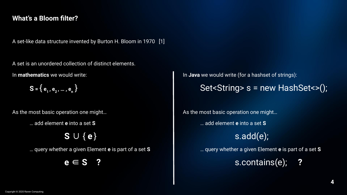#### **What's a Bloom filter?**

A set-like data structure invented by Burton H. Bloom in 1970 [1]

A set is an unordered collection of distinct elements.

In **mathematics** we would write:

 $S = \{e_1, e_2, ..., e_n\}$ 

As the most basic operation one might…

… add element **e** into a set **S**

**S** ∪ { **e** }

… query whether a given Element **e** is part of a set **S**

**e** ∈ **S ?**

In **Java** we would write (for a hashset of strings):

Set<String> s = new HashSet<>();

As the most basic operation one might…

… add element **e** into a set **S**

s.add(e);

… query whether a given Element **e** is part of a set **S**

s.contains(e); **?**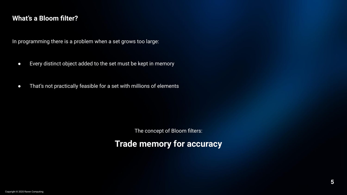#### **What's a Bloom filter?**

In programming there is a problem when a set grows too large:

- Every distinct object added to the set must be kept in memory
- That's not practically feasible for a set with millions of elements

The concept of Bloom filters:

**Trade memory for accuracy**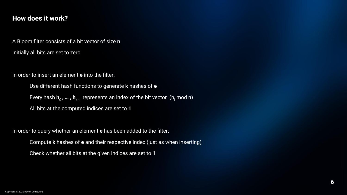#### **How does it work?**

A Bloom filter consists of a bit vector of size **n**

Initially all bits are set to zero

In order to insert an element **e** into the filter:

Use different hash functions to generate **k** hashes of **e** Every hash **h<sub>o</sub>, ... , h<sub>k-1</sub> represents an index of the bit vector <code>(h<sub>i</sub>mod n)</code>** All bits at the computed indices are set to **1**

In order to query whether an element **e** has been added to the filter:

Compute **k** hashes of **e** and their respective index (just as when inserting)

Check whether all bits at the given indices are set to **1**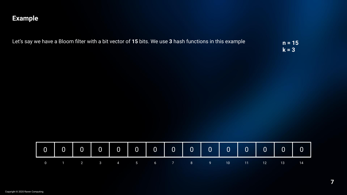| Let's say we have a Bloom filter with a bit vector of 15 bits. We use 3 hash functions in this example | $n = 15$ |
|--------------------------------------------------------------------------------------------------------|----------|
|                                                                                                        | $k = 3'$ |

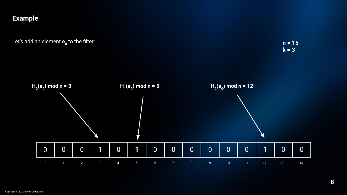Let's add an element **e<sub>o</sub> to the filter:** 

**n = 15 k = 3**

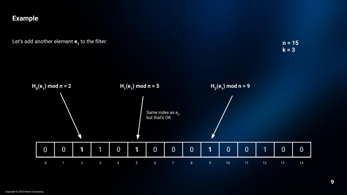Let's add another element **e<sub>1</sub>** to the filter:

**n = 15 k = 3**

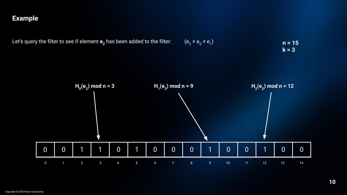

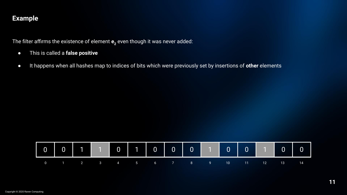The filter affirms the existence of element  ${\tt e}_{\rm z}$  even though it was never added:

- This is called a **false positive**
- It happens when all hashes map to indices of bits which were previously set by insertions of **other** elements

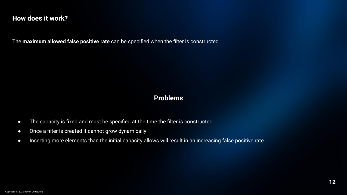#### **How does it work?**

The **maximum allowed false positive rate** can be specified when the filter is constructed

#### **Problems**

- The capacity is fixed and must be specified at the time the filter is constructed
- Once a filter is created it cannot grow dynamically
- Inserting more elements than the initial capacity allows will result in an increasing false positive rate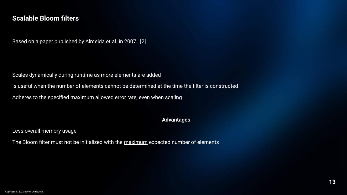Based on a paper published by Almeida et al. in 2007 [2]

Scales dynamically during runtime as more elements are added

Is useful when the number of elements cannot be determined at the time the filter is constructed

Adheres to the specified maximum allowed error rate, even when scaling

#### **Advantages**

Less overall memory usage

The Bloom filter must not be initialized with the maximum expected number of elements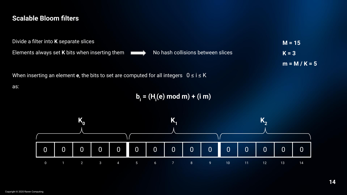| Divide a filter into <b>K</b> separate slices         |                                   | $M = 15$      |
|-------------------------------------------------------|-----------------------------------|---------------|
| Elements always set <b>K</b> bits when inserting them | No hash collisions between slices | $K = 3$       |
|                                                       |                                   | $m = M/K = 5$ |

When inserting an element **e**, the bits to set are computed for all integers 0 ≤ i ≤ K

as:

**bi = (Hi (e) mod m) + (i m)**

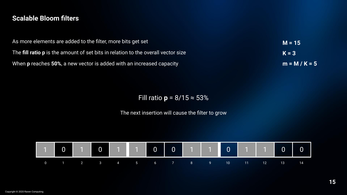| As more elements are added to the filter, more bits get set                              | $M = 15$      |
|------------------------------------------------------------------------------------------|---------------|
| The <b>fill ratio p</b> is the amount of set bits in relation to the overall vector size | $K = 3$       |
| When <b>p</b> reaches 50%, a new vector is added with an increased capacity              | $m = M/K = 5$ |

Fill ratio **p** = 8/15 ≈ 53%

The next insertion will cause the filter to grow

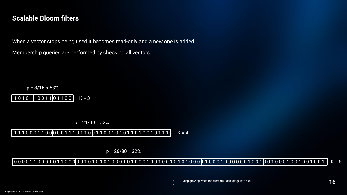When a vector stops being used it becomes read-only and a new one is added

Membership queries are performed by checking all vectors

 $p = 8/15 \approx 53\%$ 

1 0 1 0 1 1 0 0 1 1 0 1 1 0 0  $K = 3$ 

 $p = 21/40 \approx 52\%$ 

11100011000001110110011001010101010010111  $K = 4$ 

 $p = 26/80 \approx 32\%$ 

#### 0 0 0 0 1 1 0 0 0 1 0 1 1 0 0 0 0 0 1 0 1 0 1 0 0 0 1 0 1 0 0 0 1 0 0 1 0 1 0 1 0 0 0 1 0 0 0 0 0 0 0 0 0 0 0 1 0 0 10 0 10 0 10 0 1 0 0 1 0 0 1 0 0 1 0 0 1 0 0 1 0 0 1 0 0 1 0 0 1 0 0 1

Keep growing when the currently used stage hits 50%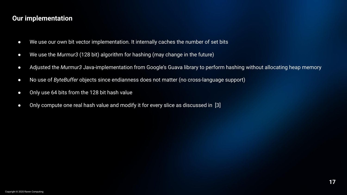### **Our implementation**

- We use our own bit vector implementation. It internally caches the number of set bits
- We use the *Murmur3* (128 bit) algorithm for hashing (may change in the future)
- Adjusted the *Murmur3* Java-implementation from Google's Guava library to perform hashing without allocating heap memory
- No use of *ByteBuffer* objects since endianness does not matter (no cross-language support)
- Only use 64 bits from the 128 bit hash value
- Only compute one real hash value and modify it for every slice as discussed in [3]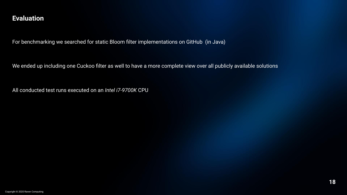For benchmarking we searched for static Bloom filter implementations on GitHub (in Java)

We ended up including one Cuckoo filter as well to have a more complete view over all publicly available solutions

All conducted test runs executed on an *Intel i7-9700K* CPU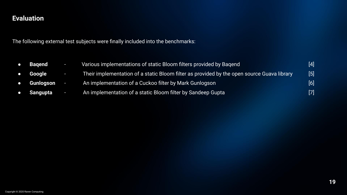The following external test subjects were finally included into the benchmarks:

| $\bullet$ | Bagend     | <b>College</b> | Various implementations of static Bloom filters provided by Bagend                         | $[4]$ |
|-----------|------------|----------------|--------------------------------------------------------------------------------------------|-------|
|           | • Google   | ÆŦ             | Their implementation of a static Bloom filter as provided by the open source Guava library | [5]   |
| $\bullet$ | Gunlogson  |                | An implementation of a Cuckoo filter by Mark Gunlogson                                     | [6]   |
|           | • Sangupta | ÷              | An implementation of a static Bloom filter by Sandeep Gupta                                | $[7]$ |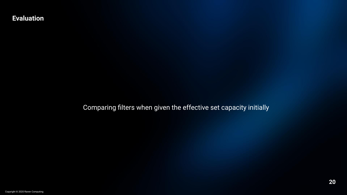Comparing filters when given the effective set capacity initially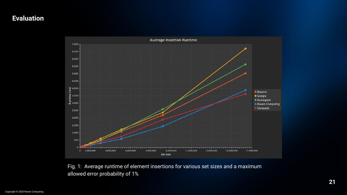

Fig. 1: Average runtime of element insertions for various set sizes and a maximum allowed error probability of 1%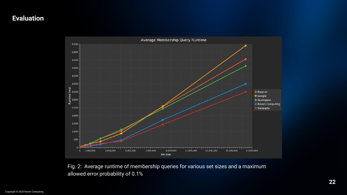

Fig. 2: Average runtime of membership queries for various set sizes and a maximum allowed error probability of 0.1%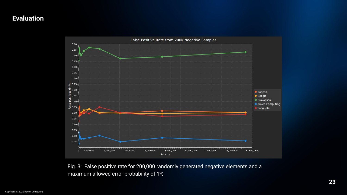

Fig. 3: False positive rate for 200,000 randomly generated negative elements and a maximum allowed error probability of 1%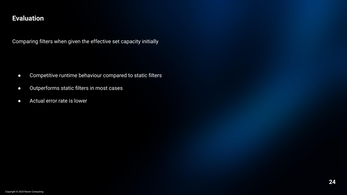Comparing filters when given the effective set capacity initially

- **•** Competitive runtime behaviour compared to static filters
- Outperforms static filters in most cases
- Actual error rate is lower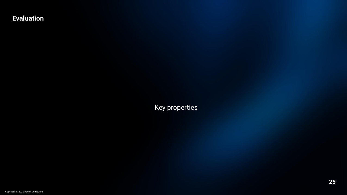Key properties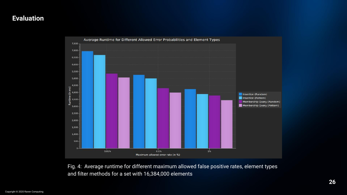

Fig. 4: Average runtime for different maximum allowed false positive rates, element types and filter methods for a set with 16,384,000 elements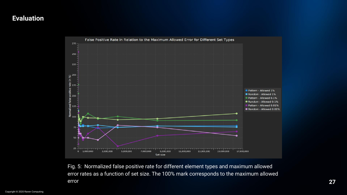

Fig. 5: Normalized false positive rate for different element types and maximum allowed error rates as a function of set size. The 100% mark corresponds to the maximum allowed error **27**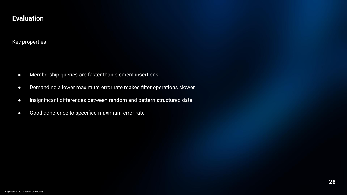#### Key properties

- Membership queries are faster than element insertions
- Demanding a lower maximum error rate makes filter operations slower
- Insignificant differences between random and pattern structured data
- Good adherence to specified maximum error rate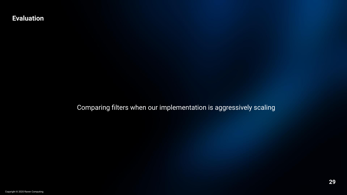Comparing filters when our implementation is aggressively scaling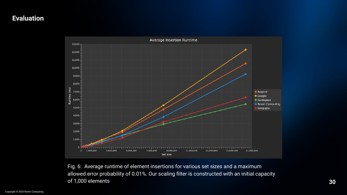

Fig. 6: Average runtime of element insertions for various set sizes and a maximum allowed error probability of 0.01%. Our scaling filter is constructed with an initial capacity of 1,000 elements **30**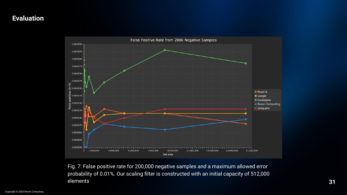

Fig. 7: False positive rate for 200,000 negative samples and a maximum allowed error probability of 0.01%. Our scaling filter is constructed with an initial capacity of 512,000 elements **31**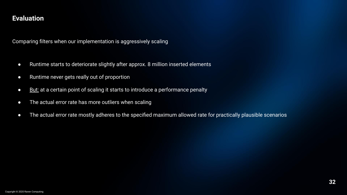Comparing filters when our implementation is aggressively scaling

- Runtime starts to deteriorate slightly after approx. 8 million inserted elements
- Runtime never gets really out of proportion
- But: at a certain point of scaling it starts to introduce a performance penalty
- The actual error rate has more outliers when scaling
- The actual error rate mostly adheres to the specified maximum allowed rate for practically plausible scenarios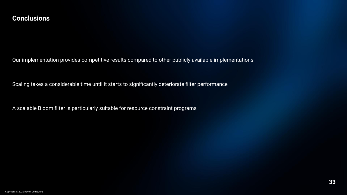#### **Conclusions**

Our implementation provides competitive results compared to other publicly available implementations

Scaling takes a considerable time until it starts to significantly deteriorate filter performance

A scalable Bloom filter is particularly suitable for resource constraint programs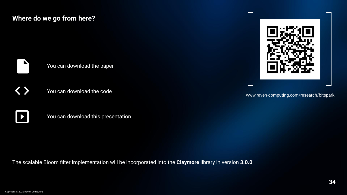### **Where do we go from here?**

You can download the paper

You can download the code

You can download this presentation

The scalable Bloom filter implementation will be incorporated into the **Claymore** library in version **3.0.0**

www.raven-computing.com/research/bitspark

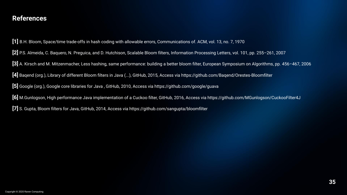#### **References**

**[1]** B.H. Bloom, Space/time trade-offs in hash coding with allowable errors, Communications of. ACM, vol. 13, no. 7, 1970

**[2]** P.S. Almeida, C. Baquero, N. Preguica, and D. Hutchison, Scalable Bloom filters, Information Processing Letters, vol. 101, pp. 255–261, 2007

**[3]** A. Kirsch and M. Mitzenmacher, Less hashing, same performance: building a better bloom filter, European Symposium on Algorithms, pp. 456–467, 2006

**[4]** Baqend (org.), Library of different Bloom filters in Java (...), GitHub, 2015, Access via https://github.com/Baqend/Orestes-Bloomfilter

**[5]** Google (org.), Google core libraries for Java , GitHub, 2010, Access via https://github.com/google/guava

**[6]** M.Gunlogson, High performance Java implementation of a Cuckoo filter, GitHub, 2016, Access via https://github.com/MGunlogson/CuckooFilter4J

**[7]** S. Gupta, Bloom filters for Java, GitHub, 2014, Access via https://github.com/sangupta/bloomfilter